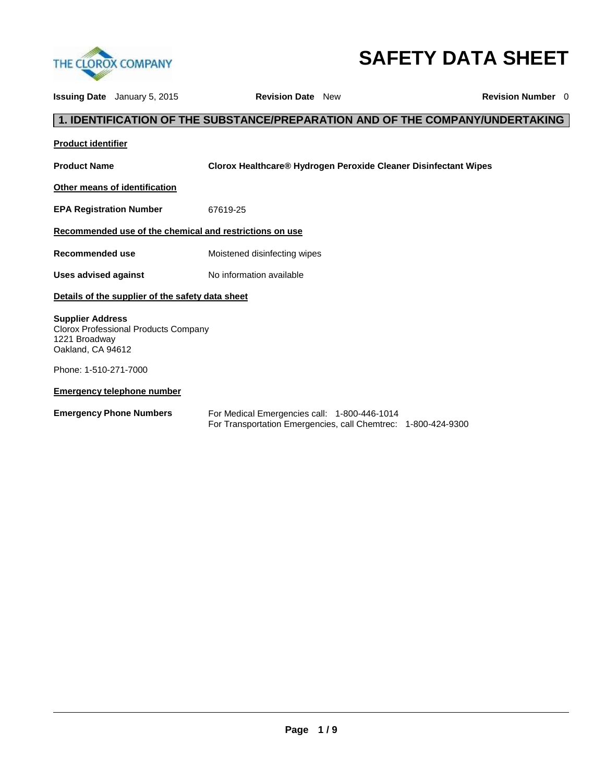

# **SAFETY DATA SHEET**

| <b>Issuing Date</b> January 5, 2015                                                                   |  | <b>Revision Date</b> New                                                                                      |  | <b>Revision Number</b> 0 |
|-------------------------------------------------------------------------------------------------------|--|---------------------------------------------------------------------------------------------------------------|--|--------------------------|
|                                                                                                       |  | 1. IDENTIFICATION OF THE SUBSTANCE/PREPARATION AND OF THE COMPANY/UNDERTAKING                                 |  |                          |
| <b>Product identifier</b>                                                                             |  |                                                                                                               |  |                          |
| <b>Product Name</b>                                                                                   |  | Clorox Healthcare® Hydrogen Peroxide Cleaner Disinfectant Wipes                                               |  |                          |
| Other means of identification                                                                         |  |                                                                                                               |  |                          |
| <b>EPA Registration Number</b>                                                                        |  | 67619-25                                                                                                      |  |                          |
|                                                                                                       |  | Recommended use of the chemical and restrictions on use                                                       |  |                          |
| Recommended use                                                                                       |  | Moistened disinfecting wipes                                                                                  |  |                          |
| Uses advised against                                                                                  |  | No information available                                                                                      |  |                          |
| Details of the supplier of the safety data sheet                                                      |  |                                                                                                               |  |                          |
| <b>Supplier Address</b><br>Clorox Professional Products Company<br>1221 Broadway<br>Oakland, CA 94612 |  |                                                                                                               |  |                          |
| Phone: 1-510-271-7000                                                                                 |  |                                                                                                               |  |                          |
| <b>Emergency telephone number</b>                                                                     |  |                                                                                                               |  |                          |
| <b>Emergency Phone Numbers</b>                                                                        |  | For Medical Emergencies call: 1-800-446-1014<br>For Transportation Emergencies, call Chemtrec: 1-800-424-9300 |  |                          |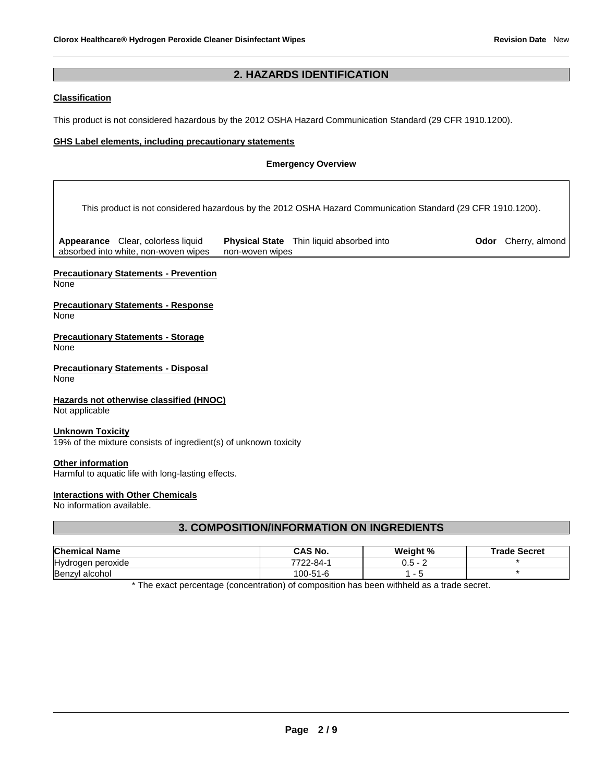### **2. HAZARDS IDENTIFICATION**

#### **Classification**

This product is not considered hazardous by the 2012 OSHA Hazard Communication Standard (29 CFR 1910.1200).

#### **GHS Label elements, including precautionary statements**

#### **Emergency Overview**

This product is not considered hazardous by the 2012 OSHA Hazard Communication Standard (29 CFR 1910.1200).

**Appearance** Clear, colorless liquid absorbed into white, non-woven wipes **Physical State** Thin liquid absorbed into non-woven wipes

**Odor** Cherry, almond

### **Precautionary Statements - Prevention**

None

#### **Precautionary Statements - Response** None

**Precautionary Statements - Storage** None

**Precautionary Statements - Disposal** None

#### **Hazards not otherwise classified (HNOC)**

Not applicable

#### **Unknown Toxicity**

19% of the mixture consists of ingredient(s) of unknown toxicity

#### **Other information**

Harmful to aquatic life with long-lasting effects.

#### **Interactions with Other Chemicals**

No information available.

### **3. COMPOSITION/INFORMATION ON INGREDIENTS**

| <b>Chemical Name</b> | <b>CAS No.</b> | Weight % | <b>Trade Secret</b> |
|----------------------|----------------|----------|---------------------|
| Hydrogen peroxide    | 7722-84-1      | - 5.ر    |                     |
| Benzyl alcohol       | 100-51-6       |          |                     |

\* The exact percentage (concentration) of composition has been withheld as a trade secret.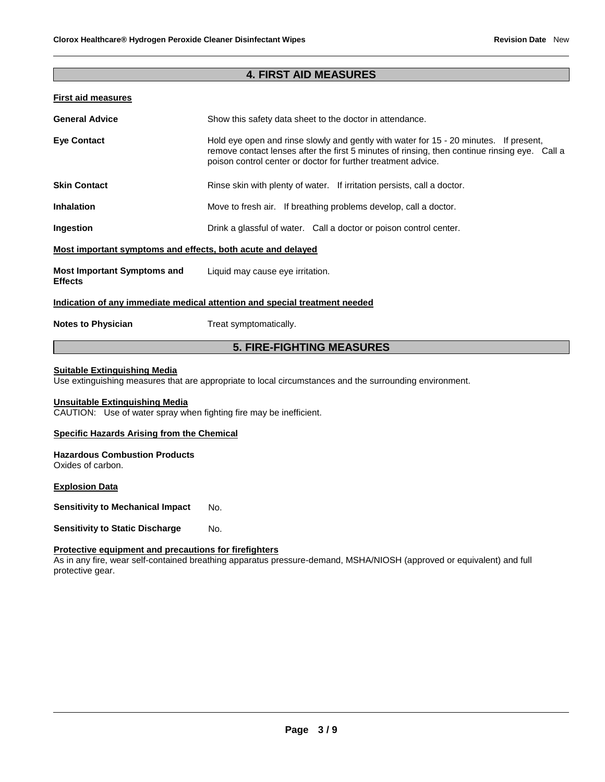### **4. FIRST AID MEASURES**

### **First aid measures**

| <b>General Advice</b>                                       | Show this safety data sheet to the doctor in attendance.                                                                                                                                                                                                |  |
|-------------------------------------------------------------|---------------------------------------------------------------------------------------------------------------------------------------------------------------------------------------------------------------------------------------------------------|--|
| <b>Eye Contact</b>                                          | Hold eye open and rinse slowly and gently with water for 15 - 20 minutes. If present,<br>remove contact lenses after the first 5 minutes of rinsing, then continue rinsing eye. Call a<br>poison control center or doctor for further treatment advice. |  |
| <b>Skin Contact</b>                                         | Rinse skin with plenty of water. If irritation persists, call a doctor.                                                                                                                                                                                 |  |
| <b>Inhalation</b>                                           | Move to fresh air. If breathing problems develop, call a doctor.                                                                                                                                                                                        |  |
| Ingestion                                                   | Drink a glassful of water. Call a doctor or poison control center.                                                                                                                                                                                      |  |
| Most important symptoms and effects, both acute and delayed |                                                                                                                                                                                                                                                         |  |
| <b>Most Important Symptoms and</b><br><b>Effects</b>        | Liquid may cause eye irritation.                                                                                                                                                                                                                        |  |
|                                                             | Indication of any immediate medical attention and special treatment needed                                                                                                                                                                              |  |
| <b>Notes to Physician</b>                                   | Treat symptomatically.                                                                                                                                                                                                                                  |  |

### **5. FIRE-FIGHTING MEASURES**

### **Suitable Extinguishing Media**

Use extinguishing measures that are appropriate to local circumstances and the surrounding environment.

#### **Unsuitable Extinguishing Media**

CAUTION: Use of water spray when fighting fire may be inefficient.

#### **Specific Hazards Arising from the Chemical**

#### **Hazardous Combustion Products** Oxides of carbon.

**Explosion Data**

**Sensitivity to Mechanical Impact No.** 

**Sensitivity to Static Discharge Mo.** 

#### **Protective equipment and precautions for firefighters**

As in any fire, wear self-contained breathing apparatus pressure-demand, MSHA/NIOSH (approved or equivalent) and full protective gear.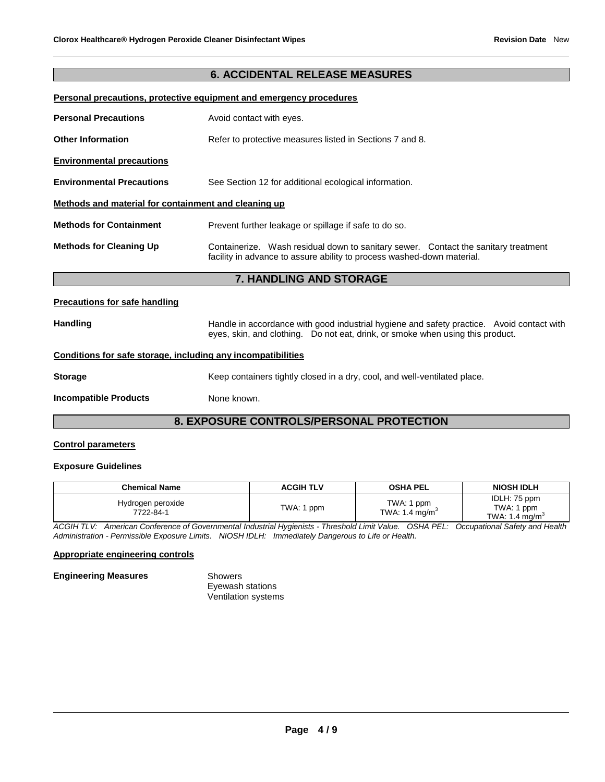### **6. ACCIDENTAL RELEASE MEASURES**

#### **Personal precautions, protective equipment and emergency procedures**

| <b>Personal Precautions</b>                          | Avoid contact with eyes.                                                                                                                                     |  |  |
|------------------------------------------------------|--------------------------------------------------------------------------------------------------------------------------------------------------------------|--|--|
| <b>Other Information</b>                             | Refer to protective measures listed in Sections 7 and 8.                                                                                                     |  |  |
| <b>Environmental precautions</b>                     |                                                                                                                                                              |  |  |
| <b>Environmental Precautions</b>                     | See Section 12 for additional ecological information.                                                                                                        |  |  |
| Methods and material for containment and cleaning up |                                                                                                                                                              |  |  |
| <b>Methods for Containment</b>                       | Prevent further leakage or spillage if safe to do so.                                                                                                        |  |  |
| <b>Methods for Cleaning Up</b>                       | Containerize. Wash residual down to sanitary sewer. Contact the sanitary treatment<br>facility in advance to assure ability to process washed-down material. |  |  |
|                                                      | 7. HANDLING AND STORAGE                                                                                                                                      |  |  |

#### **Precautions for safe handling**

Handling **Handle in accordance with good industrial hygiene and safety practice. Avoid contact with** eyes, skin, and clothing. Do not eat, drink, or smoke when using this product.

#### **Conditions for safe storage, including any incompatibilities**

| Storage | Keep containers tightly closed in a dry, cool, and well-ventilated place. |  |
|---------|---------------------------------------------------------------------------|--|

**Incompatible Products** None known.

### **8. EXPOSURE CONTROLS/PERSONAL PROTECTION**

#### **Control parameters**

#### **Exposure Guidelines**

| <b>Chemical Name</b>           | <b>ACGIH TLV</b> | <b>OSHA PEL</b>                          | <b>NIOSH IDLH</b>                                      |
|--------------------------------|------------------|------------------------------------------|--------------------------------------------------------|
| Hydrogen peroxide<br>7722-84-1 | TWA: 1 ppm       | TWA: 1 ppm<br>TWA: 1.4 mg/m <sup>3</sup> | IDLH: 75 ppm<br>TWA: 1 ppm<br>TWA: 1.4 mg/m $^{\circ}$ |

*ACGIH TLV: American Conference of Governmental Industrial Hygienists - Threshold Limit Value. OSHA PEL: Occupational Safety and Health Administration - Permissible Exposure Limits. NIOSH IDLH: Immediately Dangerous to Life or Health.*

#### **Appropriate engineering controls**

| <b>Engineering Measures</b> | Showers                    |  |
|-----------------------------|----------------------------|--|
|                             | Eyewash stations           |  |
|                             | <b>Ventilation systems</b> |  |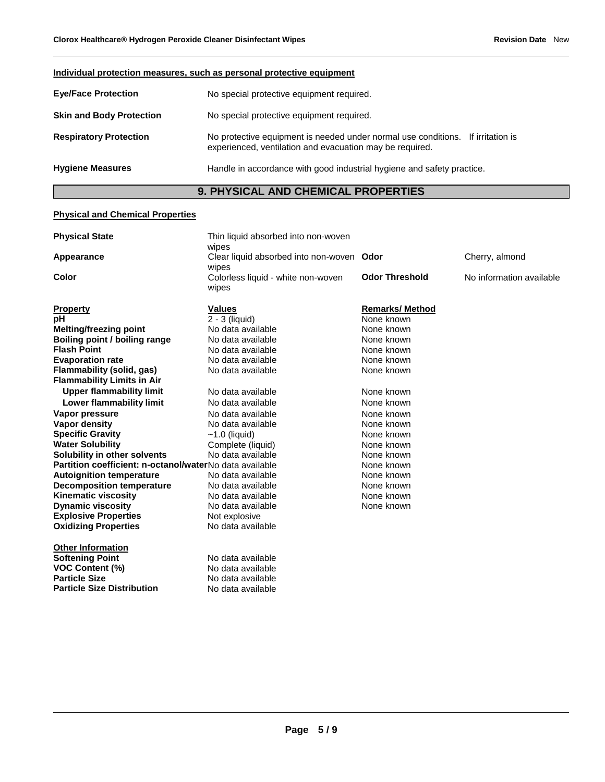| Individual protection measures, such as personal protective equipment                             |                                                                                                                                             |  |  |
|---------------------------------------------------------------------------------------------------|---------------------------------------------------------------------------------------------------------------------------------------------|--|--|
| <b>Eye/Face Protection</b>                                                                        | No special protective equipment required.                                                                                                   |  |  |
| <b>Skin and Body Protection</b>                                                                   | No special protective equipment required.                                                                                                   |  |  |
| <b>Respiratory Protection</b>                                                                     | No protective equipment is needed under normal use conditions. If irritation is<br>experienced, ventilation and evacuation may be required. |  |  |
| <b>Hygiene Measures</b><br>Handle in accordance with good industrial hygiene and safety practice. |                                                                                                                                             |  |  |

## **9. PHYSICAL AND CHEMICAL PROPERTIES**

### **Physical and Chemical Properties**

| <b>Physical State</b>                                   | Thin liquid absorbed into non-woven                |                       |                          |
|---------------------------------------------------------|----------------------------------------------------|-----------------------|--------------------------|
| Appearance                                              | wipes<br>Clear liquid absorbed into non-woven Odor |                       | Cherry, almond           |
|                                                         | wipes                                              |                       |                          |
| Color                                                   | Colorless liquid - white non-woven<br>wipes        | <b>Odor Threshold</b> | No information available |
| <b>Property</b>                                         | <b>Values</b>                                      | <b>Remarks/Method</b> |                          |
| pН                                                      | $2 - 3$ (liquid)                                   | None known            |                          |
| Melting/freezing point                                  | No data available                                  | None known            |                          |
| Boiling point / boiling range                           | No data available                                  | None known            |                          |
| <b>Flash Point</b>                                      | No data available                                  | None known            |                          |
| <b>Evaporation rate</b>                                 | No data available                                  | None known            |                          |
| Flammability (solid, gas)                               | No data available                                  | None known            |                          |
| <b>Flammability Limits in Air</b>                       |                                                    |                       |                          |
| <b>Upper flammability limit</b>                         | No data available                                  | None known            |                          |
| Lower flammability limit                                | No data available                                  | None known            |                          |
| Vapor pressure                                          | No data available                                  | None known            |                          |
| <b>Vapor density</b>                                    | No data available                                  | None known            |                          |
| <b>Specific Gravity</b>                                 | $~1.0$ (liquid)                                    | None known            |                          |
| <b>Water Solubility</b>                                 | Complete (liquid)                                  | None known            |                          |
| Solubility in other solvents                            | No data available                                  | None known            |                          |
| Partition coefficient: n-octanol/waterNo data available |                                                    | None known            |                          |
| <b>Autoignition temperature</b>                         | No data available                                  | None known            |                          |
| <b>Decomposition temperature</b>                        | No data available                                  | None known            |                          |
| <b>Kinematic viscosity</b>                              | No data available                                  | None known            |                          |
| <b>Dynamic viscosity</b>                                | No data available                                  | None known            |                          |
| <b>Explosive Properties</b>                             | Not explosive                                      |                       |                          |
| <b>Oxidizing Properties</b>                             | No data available                                  |                       |                          |
| <b>Other Information</b>                                |                                                    |                       |                          |
| <b>Softening Point</b>                                  | No data available                                  |                       |                          |
| <b>VOC Content (%)</b>                                  | No data available                                  |                       |                          |
| <b>Particle Size</b>                                    | No data available                                  |                       |                          |
| <b>Particle Size Distribution</b>                       | No data available                                  |                       |                          |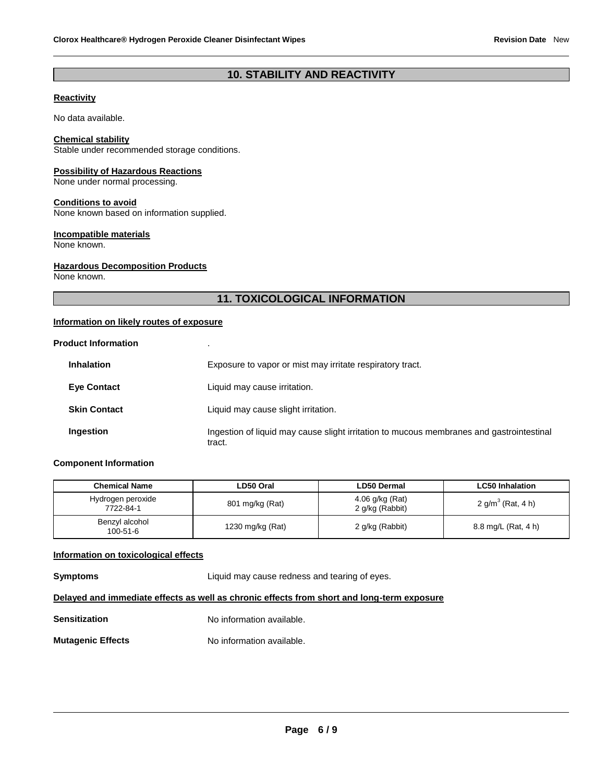### **10. STABILITY AND REACTIVITY**

### **Reactivity**

No data available.

#### **Chemical stability**

Stable under recommended storage conditions.

#### **Possibility of Hazardous Reactions**

None under normal processing.

#### **Conditions to avoid**

None known based on information supplied.

#### **Incompatible materials**

None known.

#### **Hazardous Decomposition Products**

None known.

### **11. TOXICOLOGICAL INFORMATION**

### **Information on likely routes of exposure**

| <b>Product Information</b> |                                                                                                    |
|----------------------------|----------------------------------------------------------------------------------------------------|
| <b>Inhalation</b>          | Exposure to vapor or mist may irritate respiratory tract.                                          |
| <b>Eye Contact</b>         | Liquid may cause irritation.                                                                       |
| <b>Skin Contact</b>        | Liquid may cause slight irritation.                                                                |
| Ingestion                  | Ingestion of liquid may cause slight irritation to mucous membranes and gastrointestinal<br>tract. |

#### **Component Information**

| <b>Chemical Name</b>             | LD50 Oral        | <b>LD50 Dermal</b>                 | <b>LC50 Inhalation</b> |
|----------------------------------|------------------|------------------------------------|------------------------|
| Hydrogen peroxide<br>7722-84-1   | 801 mg/kg (Rat)  | 4.06 g/kg (Rat)<br>2 g/kg (Rabbit) | 2 $g/m^3$ (Rat, 4 h)   |
| Benzyl alcohol<br>$100 - 51 - 6$ | 1230 mg/kg (Rat) | 2 g/kg (Rabbit)                    | 8.8 mg/L (Rat, 4 h)    |

#### **Information on toxicological effects**

**Symptoms** Liquid may cause redness and tearing of eyes.

### **Delayed and immediate effects as well as chronic effects from short and long-term exposure**

| <b>Sensitization</b>     | No information available. |
|--------------------------|---------------------------|
| <b>Mutagenic Effects</b> | No information available. |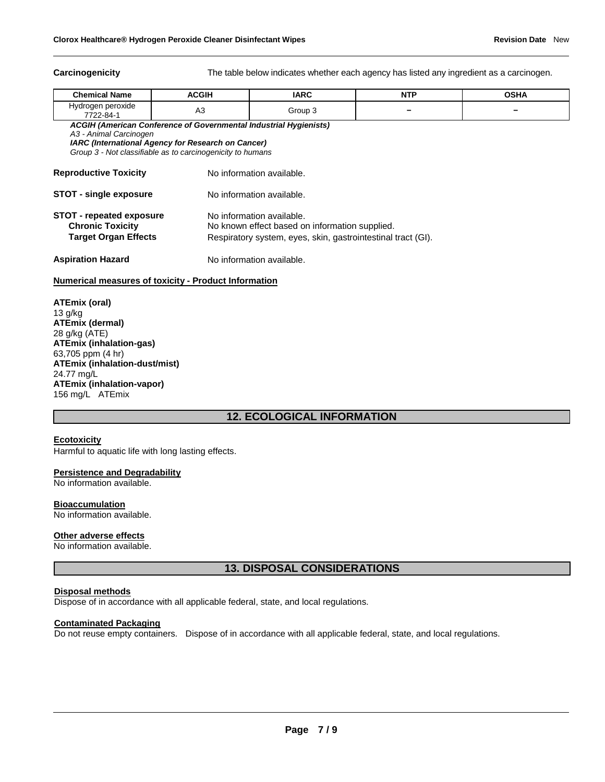**Carcinogenicity** The table below indicates whether each agency has listed any ingredient as a carcinogen.

| <b>Chemical Name</b>                                                                                                                                                                                                          | <b>ACGIH</b>   | <b>IARC</b>                                                                                                                                 | <b>NTP</b> | <b>OSHA</b> |  |  |  |
|-------------------------------------------------------------------------------------------------------------------------------------------------------------------------------------------------------------------------------|----------------|---------------------------------------------------------------------------------------------------------------------------------------------|------------|-------------|--|--|--|
| Hydrogen peroxide<br>7722-84-1                                                                                                                                                                                                | A <sub>3</sub> | Group 3                                                                                                                                     |            |             |  |  |  |
| <b>ACGIH (American Conference of Governmental Industrial Hygienists)</b><br>A3 - Animal Carcinogen<br><b>IARC (International Agency for Research on Cancer)</b><br>Group 3 - Not classifiable as to carcinogenicity to humans |                |                                                                                                                                             |            |             |  |  |  |
| <b>Reproductive Toxicity</b>                                                                                                                                                                                                  |                | No information available.                                                                                                                   |            |             |  |  |  |
| <b>STOT - single exposure</b>                                                                                                                                                                                                 |                | No information available.                                                                                                                   |            |             |  |  |  |
| <b>STOT - repeated exposure</b><br><b>Chronic Toxicity</b><br><b>Target Organ Effects</b>                                                                                                                                     |                | No information available.<br>No known effect based on information supplied.<br>Respiratory system, eyes, skin, gastrointestinal tract (GI). |            |             |  |  |  |
| <b>Aspiration Hazard</b>                                                                                                                                                                                                      |                | No information available.                                                                                                                   |            |             |  |  |  |

#### **Numerical measures of toxicity - Product Information**

**ATEmix (oral)** 13 g/kg **ATEmix (dermal)** 28 g/kg (ATE) **ATEmix (inhalation-gas)** 63,705 ppm (4 hr) **ATEmix (inhalation-dust/mist)** 24.77 mg/L **ATEmix (inhalation-vapor)** 156 mg/L ATEmix

### **12. ECOLOGICAL INFORMATION**

#### **Ecotoxicity**

Harmful to aquatic life with long lasting effects.

#### **Persistence and Degradability**

No information available.

### **Bioaccumulation**

No information available.

#### **Other adverse effects**

No information available.

### **13. DISPOSAL CONSIDERATIONS**

#### **Disposal methods**

Dispose of in accordance with all applicable federal, state, and local regulations.

#### **Contaminated Packaging**

Do not reuse empty containers. Dispose of in accordance with all applicable federal, state, and local regulations.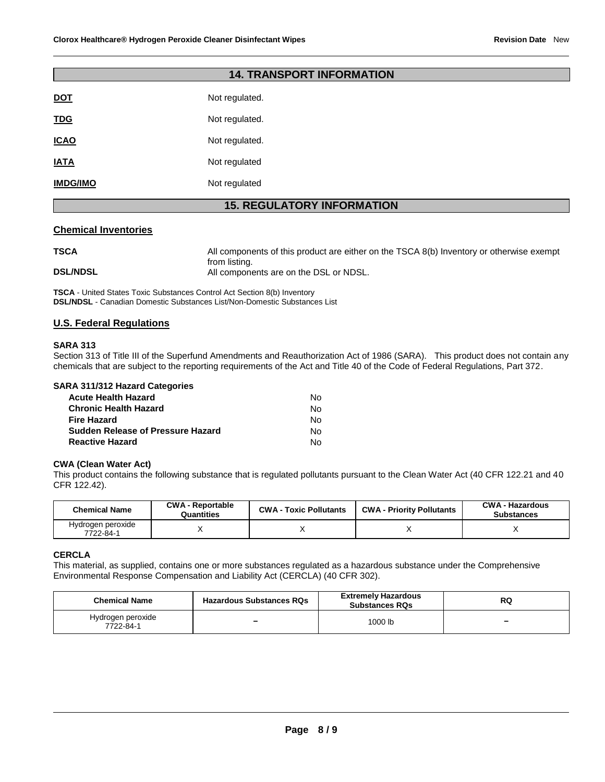| <b>14. TRANSPORT INFORMATION</b>  |                |  |  |  |  |
|-----------------------------------|----------------|--|--|--|--|
| <b>DOT</b>                        | Not regulated. |  |  |  |  |
| <b>TDG</b>                        | Not regulated. |  |  |  |  |
| <b>ICAO</b>                       | Not regulated. |  |  |  |  |
| <b>IATA</b>                       | Not regulated  |  |  |  |  |
| <b>IMDG/IMO</b>                   | Not regulated  |  |  |  |  |
| <b>15. REGULATORY INFORMATION</b> |                |  |  |  |  |

#### **Chemical Inventories**

| <b>TSCA</b>     | All components of this product are either on the TSCA 8(b) Inventory or otherwise exempt |
|-----------------|------------------------------------------------------------------------------------------|
| <b>DSL/NDSL</b> | from listing.<br>All components are on the DSL or NDSL.                                  |
|                 |                                                                                          |

**TSCA** - United States Toxic Substances Control Act Section 8(b) Inventory **DSL/NDSL** - Canadian Domestic Substances List/Non-Domestic Substances List

### **U.S. Federal Regulations**

#### **SARA 313**

Section 313 of Title III of the Superfund Amendments and Reauthorization Act of 1986 (SARA). This product does not contain any chemicals that are subject to the reporting requirements of the Act and Title 40 of the Code of Federal Regulations, Part 372.

| SARA 311/312 Hazard Categories           |    |
|------------------------------------------|----|
| <b>Acute Health Hazard</b>               | N٥ |
| <b>Chronic Health Hazard</b>             | No |
| <b>Fire Hazard</b>                       | No |
| <b>Sudden Release of Pressure Hazard</b> | Nο |
| <b>Reactive Hazard</b>                   | No |

#### **CWA (Clean Water Act)**

This product contains the following substance that is regulated pollutants pursuant to the Clean Water Act (40 CFR 122.21 and 40 CFR 122.42).

| <b>Chemical Name</b>           | <b>CWA - Reportable</b><br>Quantities |  | <b>CWA - Priority Pollutants</b> | <b>CWA - Hazardous</b><br><b>Substances</b> |  |
|--------------------------------|---------------------------------------|--|----------------------------------|---------------------------------------------|--|
| Hydrogen peroxide<br>7722-84-1 |                                       |  |                                  |                                             |  |

#### **CERCLA**

This material, as supplied, contains one or more substances regulated as a hazardous substance under the Comprehensive Environmental Response Compensation and Liability Act (CERCLA) (40 CFR 302).

| <b>Chemical Name</b><br><b>Hazardous Substances RQs</b> |   | <b>Extremely Hazardous</b><br><b>Substances RQs</b> | RQ |  |
|---------------------------------------------------------|---|-----------------------------------------------------|----|--|
| Hydrogen peroxide<br>7722-84-1                          | - | 1000 lb                                             | -  |  |